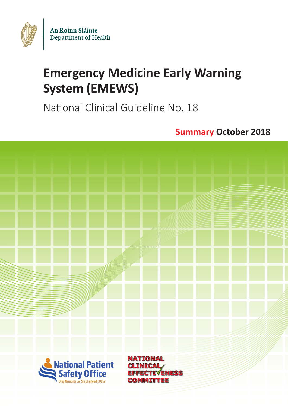

# **Emergency Medicine Early Warning System (EMEWS)**

National Clinical Guideline No. 18

**Summary October 2018**

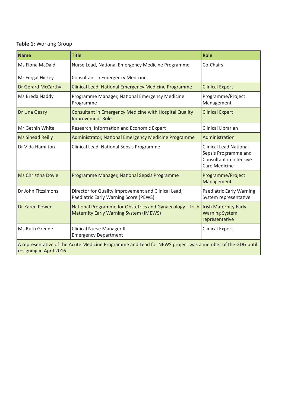## **Table 1:** Working Group

| <b>Name</b>                                                                                                                          | <b>Title</b>                                                                                               | <b>Role</b>                                                                                              |  |  |
|--------------------------------------------------------------------------------------------------------------------------------------|------------------------------------------------------------------------------------------------------------|----------------------------------------------------------------------------------------------------------|--|--|
| <b>Ms Fiona McDaid</b>                                                                                                               | Nurse Lead, National Emergency Medicine Programme                                                          | Co-Chairs                                                                                                |  |  |
| Mr Fergal Hickey                                                                                                                     | <b>Consultant in Emergency Medicine</b>                                                                    |                                                                                                          |  |  |
| Dr Gerard McCarthy                                                                                                                   | Clinical Lead, National Emergency Medicine Programme                                                       | <b>Clinical Expert</b>                                                                                   |  |  |
| Ms Breda Naddy                                                                                                                       | Programme Manager, National Emergency Medicine<br>Programme                                                | Programme/Project<br>Management                                                                          |  |  |
| Dr Una Geary                                                                                                                         | Consultant in Emergency Medicine with Hospital Quality<br><b>Improvement Role</b>                          | <b>Clinical Expert</b>                                                                                   |  |  |
| Mr Gethin White                                                                                                                      | Research, Information and Economic Expert                                                                  | <b>Clinical Librarian</b>                                                                                |  |  |
| <b>Ms Sinead Reilly</b>                                                                                                              | Administrator, National Emergency Medicine Programme                                                       | Administration                                                                                           |  |  |
| Dr Vida Hamilton                                                                                                                     | Clinical Lead, National Sepsis Programme                                                                   | <b>Clinical Lead National</b><br>Sepsis Programme and<br>Consultant in Intensive<br><b>Care Medicine</b> |  |  |
| Ms Christina Doyle                                                                                                                   | Programme Manager, National Sepsis Programme                                                               | Programme/Project<br>Management                                                                          |  |  |
| Dr John Fitzsimons                                                                                                                   | Director for Quality Improvement and Clinical Lead,<br>Paediatric Early Warning Score (PEWS)               | <b>Paediatric Early Warning</b><br>System representative                                                 |  |  |
| Dr Karen Power                                                                                                                       | National Programme for Obstetrics and Gynaecology - Irish<br><b>Maternity Early Warning System (IMEWS)</b> | <b>Irish Maternity Early</b><br><b>Warning System</b><br>representative                                  |  |  |
| Ms Ruth Greene                                                                                                                       | <b>Clinical Nurse Manager II</b><br><b>Emergency Department</b>                                            | <b>Clinical Expert</b>                                                                                   |  |  |
| A representative of the Acute Medicine Programme and Lead for NEWS project was a member of the GDG until<br>resigning in April 2016. |                                                                                                            |                                                                                                          |  |  |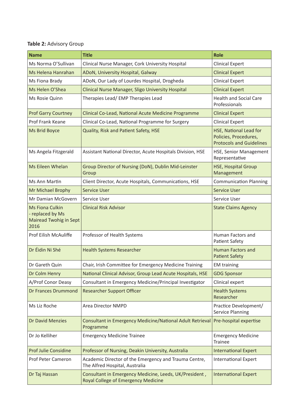## **Table 2:** Advisory Group

| <b>Name</b>                                                                         | <b>Title</b>                                                                                  | <b>Role</b>                                                                        |
|-------------------------------------------------------------------------------------|-----------------------------------------------------------------------------------------------|------------------------------------------------------------------------------------|
| Ms Norma O'Sullivan                                                                 | Clinical Nurse Manager, Cork University Hospital                                              | <b>Clinical Expert</b>                                                             |
| Ms Helena Hanrahan                                                                  | ADoN, University Hospital, Galway                                                             | <b>Clinical Expert</b>                                                             |
| Ms Fiona Brady                                                                      | ADoN, Our Lady of Lourdes Hospital, Drogheda                                                  | <b>Clinical Expert</b>                                                             |
| Ms Helen O'Shea                                                                     | Clinical Nurse Manager, Sligo University Hospital                                             | <b>Clinical Expert</b>                                                             |
| Ms Rosie Quinn                                                                      | Therapies Lead/ EMP Therapies Lead                                                            | <b>Health and Social Care</b><br>Professionals                                     |
| <b>Prof Garry Courtney</b>                                                          | Clinical Co-Lead, National Acute Medicine Programme                                           | <b>Clinical Expert</b>                                                             |
| Prof Frank Keane                                                                    | Clinical Co-Lead, National Programme for Surgery                                              | <b>Clinical Expert</b>                                                             |
| Ms Brid Boyce                                                                       | Quality, Risk and Patient Safety, HSE                                                         | HSE, National Lead for<br>Policies, Procedures,<br><b>Protocols and Guidelines</b> |
| Ms Angela Fitzgerald                                                                | Assistant National Director, Acute Hospitals Division, HSE                                    | HSE, Senior Management<br>Representative                                           |
| Ms Eileen Whelan                                                                    | Group Director of Nursing (DoN), Dublin Mid-Leinster<br>Group                                 | <b>HSE, Hospital Group</b><br>Management                                           |
| Ms Ann Martin                                                                       | Client Director, Acute Hospitals, Communications, HSE                                         | <b>Communication Planning</b>                                                      |
| Mr Michael Brophy                                                                   | <b>Service User</b>                                                                           | <b>Service User</b>                                                                |
| Mr Damian McGovern                                                                  | Service User                                                                                  | Service User                                                                       |
| <b>Ms Fiona Culkin</b><br>- replaced by Ms<br><b>Mairead Twohig in Sept</b><br>2016 | <b>Clinical Risk Advisor</b>                                                                  | <b>State Claims Agency</b>                                                         |
| Prof Eilish McAuliffe                                                               | Professor of Health Systems                                                                   | Human Factors and<br><b>Patient Safety</b>                                         |
| Dr Éidin Ni Shé                                                                     | <b>Health Systems Researcher</b>                                                              | <b>Human Factors and</b><br><b>Patient Safety</b>                                  |
| Dr Gareth Quin                                                                      | Chair, Irish Committee for Emergency Medicine Training                                        | <b>EM</b> training                                                                 |
| Dr Colm Henry                                                                       | National Clinical Advisor, Group Lead Acute Hospitals, HSE                                    | <b>GDG Sponsor</b>                                                                 |
| A/Prof Conor Deasy                                                                  | Consultant in Emergency Medicine/Principal Investigator                                       | Clinical expert                                                                    |
| <b>Dr Frances Drummond</b>                                                          | <b>Researcher Support Officer</b>                                                             | <b>Health Systems</b><br>Researcher                                                |
| Ms Liz Roche                                                                        | <b>Area Director NMPD</b>                                                                     | Practice Development/<br><b>Service Planning</b>                                   |
| Dr David Menzies                                                                    | Consultant in Emergency Medicine/National Adult Retrieval<br>Programme                        | Pre-hospital expertise                                                             |
| Dr Jo Kelliher                                                                      | <b>Emergency Medicine Trainee</b>                                                             | <b>Emergency Medicine</b><br><b>Trainee</b>                                        |
| <b>Prof Julie Considine</b>                                                         | Professor of Nursing, Deakin University, Australia                                            | <b>International Expert</b>                                                        |
| Prof Peter Cameron                                                                  | Academic Director of the Emergency and Trauma Centre,<br>The Alfred Hospital, Australia       | <b>International Expert</b>                                                        |
| Dr Taj Hassan                                                                       | Consultant in Emergency Medicine, Leeds, UK/President,<br>Royal College of Emergency Medicine | <b>International Expert</b>                                                        |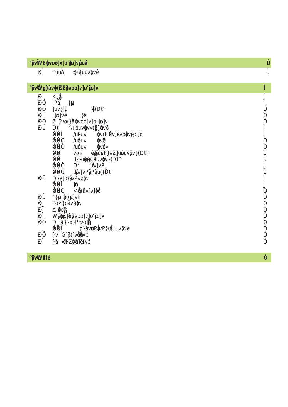## **Table of contents**

|          | <b>ÿWYOOyopypuŒ</b>     |                                 | Ò      |
|----------|-------------------------|---------------------------------|--------|
| K        | <b>Au</b> CE            | <b>GOLETY</b>                   | Ò      |
|          |                         |                                 |        |
|          | <b>ÿiN ABAdjooyb by</b> |                                 | Í      |
| ĨX       | KÀĚ                     |                                 | Í      |
| Ĩ        | IPŒ 如                   |                                 | Í      |
| K        | <b>Jv)Ä</b>             | <b>i</b> Dt^                    | Í      |
| 笝        | <b>by</b>               | $y_{00}$                        |        |
| Ñ        |                         | <b>Z Ўо (УБоУФИ)</b>            | Ĩ      |
| Ø        | Dt                      | <b>ØB6H/ŠV (PS665</b>           | ð      |
|          | Ň                       | <b>NOON</b><br><b>WKPEYOVES</b> | ð      |
|          | Ñ                       | <b>NOON</b><br><b>Koo</b>       | ñ      |
|          | Ø                       | <b>SB66</b><br><b>NOON</b>      | ñ      |
|          | Õ                       | voŒ<br>vuiRyje&b/YDt^           | Ô      |
|          | Õ                       | <b>сфусскийДDt^</b>             | Ô      |
|          | Ă<br>Ø                  | Dt<br><b>评</b>                  | Ô      |
| Ø        |                         | dyyPyGE (DH ^<br><b>TEVAV</b>   | Ô<br>Õ |
|          | Dy}<br>Ň                | þ                               | Õ      |
|          | Ň                       | √解理                             | Î      |
| 笝        | 正                       | <u> ({µ</u> уР                  | Í      |
| <b>Ø</b> | S BODY                  |                                 | ĺ      |
| Ĩ        | ÆGEDL                   |                                 | Í      |
| Ĩ        | WESOVODY                |                                 |        |
| Ĩ        | D                       | <b>酌颂</b>                       | Î      |
|          | <b>K</b>                | <b>ABAGEPTE MET VY.</b>         | Î      |
| K        | $\mathbf{\hat{y}}$      | G的时间                            | Ĩ      |
| Ø        | <b>Yoo LEEM</b>         |                                 | Ĩ      |
|          |                         |                                 |        |

**^Ÿ}vïW‰v]• îð**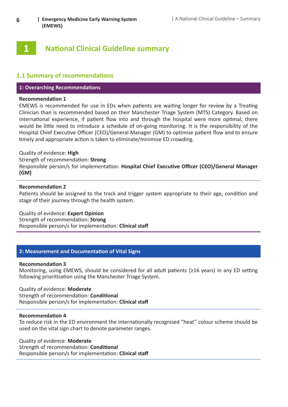

## **1.1 Summary of recommendations**

#### **1: Overarching Recommendations**

#### **Recommendation 1**

EMEWS is recommended for use in EDs when patients are waiting longer for review by a Treating Clinician than is recommended based on their Manchester Triage System (MTS) Category. Based on international experience, if patient flow into and through the hospital were more optimal, there would be little need to introduce a schedule of on-going monitoring. It is the responsibility of the Hospital Chief Executive Officer (CEO)/General Manager (GM) to optimise patient flow and to ensure timely and appropriate action is taken to eliminate/minimise ED crowding.

## Quality of evidence: **High**

Strength of recommendation: **Strong**

Responsible person/s for implementation: **Hospital Chief Executive Officer (CEO)/General Manager (GM)**

## **Recommendation 2**

Patients should be assigned to the track and trigger system appropriate to their age, condition and stage of their journey through the health system.

## Quality of evidence: **Expert Opinion**

Strength of recommendation: **Strong**

Responsible person/s for implementation: **Clinical staff**

## **2: Measurement and Documentation of Vital Signs**

#### **Recommendation 3**

Monitoring, using EMEWS, should be considered for all adult patients (≥16 years) in any ED setting following prioritisation using the Manchester Triage System.

## Quality of evidence: **Moderate**

Strength of recommendation: **Conditional** Responsible person/s for implementation: **Clinical staff**

#### **Recommendation 4**

To reduce risk in the ED environment the internationally recognised "heat" colour scheme should be used on the vital sign chart to denote parameter ranges.

Quality of evidence: **Moderate** Strength of recommendation: **Conditional** Responsible person/s for implementation: **Clinical staff**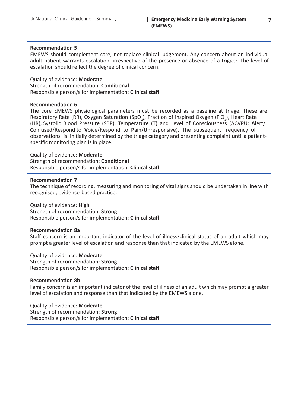#### **Recommendation 5**

EMEWS should complement care, not replace clinical judgement. Any concern about an individual adult patient warrants escalation, irrespective of the presence or absence of a trigger. The level of escalation should reflect the degree of clinical concern.

Quality of evidence: **Moderate**

Strength of recommendation: **Conditional** Responsible person/s for implementation: **Clinical staff**

#### **Recommendation 6**

The core EMEWS physiological parameters must be recorded as a baseline at triage. These are: Respiratory Rate (RR), Oxygen Saturation (SpO<sub>2</sub>), Fraction of inspired Oxygen (FiO<sub>2</sub>), Heart Rate (HR), Systolic Blood Pressure (SBP), Temperature (T) and Level of Consciousness (ACVPU: **A**lert/ **C**onfused/Respond to **V**oice/Respond to **P**ain/**U**nresponsive). The subsequent frequency of observations is initially determined by the triage category and presenting complaint until a patientspecific monitoring plan is in place.

Quality of evidence: **Moderate**

Strength of recommendation: **Conditional** Responsible person/s for implementation: **Clinical staff**

#### **Recommendation 7**

The technique of recording, measuring and monitoring of vital signs should be undertaken in line with recognised, evidence-based practice.

Quality of evidence: **High** Strength of recommendation: **Strong**

Responsible person/s for implementation: **Clinical staff**

#### **Recommendation 8a**

Staff concern is an important indicator of the level of illness/clinical status of an adult which may prompt a greater level of escalation and response than that indicated by the EMEWS alone.

Quality of evidence: **Moderate** Strength of recommendation: **Strong** Responsible person/s for implementation: **Clinical staff**

#### **Recommendation 8b**

Family concern is an important indicator of the level of illness of an adult which may prompt a greater level of escalation and response than that indicated by the EMEWS alone.

Quality of evidence: **Moderate** Strength of recommendation: **Strong** Responsible person/s for implementation: **Clinical staff**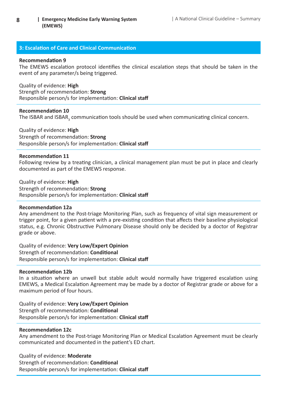## **3: Escalation of Care and Clinical Communication**

#### **Recommendation 9**

The EMEWS escalation protocol identifies the clinical escalation steps that should be taken in the event of any parameter/s being triggered.

Quality of evidence: **High** Strength of recommendation: **Strong** Responsible person/s for implementation: **Clinical staff**

#### **Recommendation 10**

The ISBAR and ISBAR<sub>3</sub> communication tools should be used when communicating clinical concern.

Quality of evidence: **High** Strength of recommendation: **Strong** Responsible person/s for implementation: **Clinical staff**

#### **Recommendation 11**

Following review by a treating clinician, a clinical management plan must be put in place and clearly documented as part of the EMEWS response.

Quality of evidence: **High** Strength of recommendation: **Strong** Responsible person/s for implementation: **Clinical staff**

#### **Recommendation 12a**

Any amendment to the Post-triage Monitoring Plan, such as frequency of vital sign measurement or trigger point, for a given patient with a pre-existing condition that affects their baseline physiological status, e.g. Chronic Obstructive Pulmonary Disease should only be decided by a doctor of Registrar grade or above.

Quality of evidence: **Very Low/Expert Opinion** Strength of recommendation: **Conditional** Responsible person/s for implementation: **Clinical staff**

#### **Recommendation 12b**

In a situation where an unwell but stable adult would normally have triggered escalation using EMEWS, a Medical Escalation Agreement may be made by a doctor of Registrar grade or above for a maximum period of four hours.

Quality of evidence: **Very Low/Expert Opinion** Strength of recommendation: **Conditional** Responsible person/s for implementation: **Clinical staff**

#### **Recommendation 12c**

Any amendment to the Post-triage Monitoring Plan or Medical Escalation Agreement must be clearly communicated and documented in the patient's ED chart.

#### Quality of evidence: **Moderate**

Strength of recommendation: **Conditional** Responsible person/s for implementation: **Clinical staff**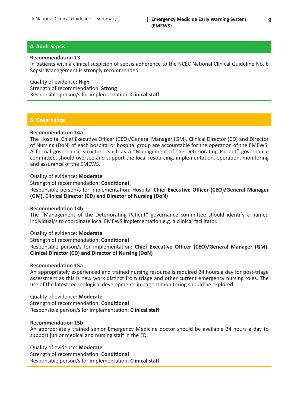## **4: Adult Sepsis**

#### **Recommendation 13**

In patients with a clinical suspicion of sepsis adherence to the NCEC National Clinical Guideline No. 6 Sepsis Management is strongly recommended.

Quality of evidence: **High**

Strength of recommendation: **Strong**

Responsible person/s for implementation: **Clinical staff**

#### **5: Governance**

## **Recommendation 14a**

The Hospital Chief Executive Officer (CEO)/General Manager (GM), Clinical Director (CD) and Director of Nursing (DoN) of each hospital or hospital group are accountable for the operation of the EMEWS. A formal governance structure, such as a "Management of the Deteriorating Patient" governance committee, should oversee and support the local resourcing, implementation, operation, monitoring and assurance of the EMEWS.

Quality of evidence: **Moderate**

#### Strength of recommendation: **Conditional**

Responsible person/s for implementation: Hospital **Chief Executive Officer (CEO)/General Manager (GM), Clinical Director (CD) and Director of Nursing (DoN)**

#### **Recommendation 14b**

The "Management of the Deteriorating Patient" governance committee should identify a named individual/s to coordinate local EMEWS implementation e.g. a clinical facilitator.

#### Quality of evidence: **Moderate**

Strength of recommendation: **Conditional**

Responsible person/s for implementation: **Chief Executive Officer (CEO)/General Manager (GM), Clinical Director (CD) and Director of Nursing (DoN)**

#### **Recommendation 15a**

An appropriately experienced and trained nursing resource is required 24 hours a day for post-triage assessment as this is new work distinct from triage and other current emergency nursing roles. The use of the latest technological developments in patient monitoring should be explored.

Quality of evidence: **Moderate**

Strength of recommendation: **Conditional** Responsible person/s for implementation: **Clinical staff**

#### **Recommendation 15b**

An appropriately trained senior Emergency Medicine doctor should be available 24 hours a day to support junior medical and nursing staff in the ED.

Quality of evidence: **Moderate**

Strength of recommendation: **Conditional** Responsible person/s for implementation: **Clinical staff**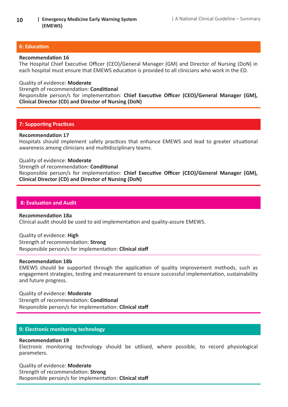## **6: Education**

#### **Recommendation 16**

The Hospital Chief Executive Officer (CEO)/General Manager (GM) and Director of Nursing (DoN) in each hospital must ensure that EMEWS education is provided to all clinicians who work in the ED.

#### Quality of evidence: **Moderate**

Strength of recommendation: **Conditional**

Responsible person/s for implementation: **Chief Executive Officer (CEO)/General Manager (GM), Clinical Director (CD) and Director of Nursing (DoN)**

## **7: Supporting Practices**

## **Recommendation 17**

Hospitals should implement safety practices that enhance EMEWS and lead to greater situational awareness among clinicians and multidisciplinary teams.

## Quality of evidence: **Moderate**

Strength of recommendation: **Conditional**

Responsible person/s for implementation: **Chief Executive Officer (CEO)/General Manager (GM), Clinical Director (CD) and Director of Nursing (DoN)**

## **8: Evaluation and Audit**

#### **Recommendation 18a**

Clinical audit should be used to aid implementation and quality-assure EMEWS.

#### Quality of evidence: **High**

Strength of recommendation: **Strong** Responsible person/s for implementation: **Clinical staff**

#### **Recommendation 18b**

EMEWS should be supported through the application of quality improvement methods, such as engagement strategies, testing and measurement to ensure successful implementation, sustainability and future progress.

Quality of evidence: **Moderate** Strength of recommendation: **Conditional** Responsible person/s for implementation: **Clinical staff**

## **9: Electronic monitoring technology**

#### **Recommendation 19**

Electronic monitoring technology should be utilised, where possible, to record physiological parameters.

Quality of evidence: **Moderate** Strength of recommendation: **Strong** Responsible person/s for implementation: **Clinical staff**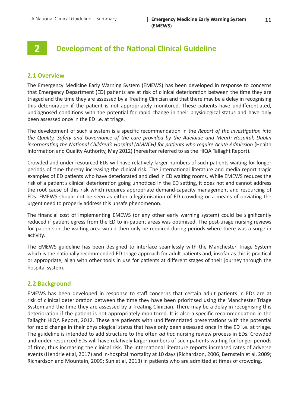## **2 Development of the National Clinical Guideline**

## **2.1 Overview**

The Emergency Medicine Early Warning System (EMEWS) has been developed in response to concerns that Emergency Department (ED) patients are at risk of clinical deterioration between the time they are triaged and the time they are assessed by a Treating Clinician and that there may be a delay in recognising this deterioration if the patient is not appropriately monitored. These patients have undifferentiated, undiagnosed conditions with the potential for rapid change in their physiological status and have only been assessed once in the ED i.e. at triage.

The development of such a system is a specific recommendation in the *Report of the investigation into the Quality, Safety and Governance of the care provided by the Adelaide and Meath Hospital, Dublin incorporating the National Children's Hospital (AMNCH) for patients who require Acute Admission* (Health Information and Quality Authority, May 2012) (hereafter referred to as the HIQA Tallaght Report).

Crowded and under-resourced EDs will have relatively larger numbers of such patients waiting for longer periods of time thereby increasing the clinical risk. The international literature and media report tragic examples of ED patients who have deteriorated and died in ED waiting rooms. While EMEWS reduces the risk of a patient's clinical deterioration going unnoticed in the ED setting, it does not and cannot address the root cause of this risk which requires appropriate demand-capacity management and resourcing of EDs. EMEWS should not be seen as either a legitimisation of ED crowding or a means of obviating the urgent need to properly address this unsafe phenomenon.

The financial cost of implementing EMEWS (or any other early warning system) could be significantly reduced if patient egress from the ED to in-patient areas was optimised. The post-triage nursing reviews for patients in the waiting area would then only be required during periods where there was a surge in activity.

The EMEWS guideline has been designed to interface seamlessly with the Manchester Triage System which is the nationally recommended ED triage approach for adult patients and, insofar as this is practical or appropriate, align with other tools in use for patients at different stages of their journey through the hospital system.

## **2.2 Background**

EMEWS has been developed in response to staff concerns that certain adult patients in EDs are at risk of clinical deterioration between the time they have been prioritised using the Manchester Triage System and the time they are assessed by a Treating Clinician. There may be a delay in recognising this deterioration if the patient is not appropriately monitored. It is also a specific recommendation in the Tallaght HIQA Report, 2012. These are patients with undifferentiated presentations with the potential for rapid change in their physiological status that have only been assessed once in the ED i.e. at triage. The guideline is intended to add structure to the often *ad hoc* nursing review process in EDs. Crowded and under-resourced EDs will have relatively larger numbers of such patients waiting for longer periods of time, thus increasing the clinical risk. The international literature reports increased rates of adverse events (Hendrie et al, 2017) and in-hospital mortality at 10 days (Richardson, 2006; Bernstein et al, 2009; Richardson and Mountain, 2009; Sun et al, 2013) in patients who are admitted at times of crowding.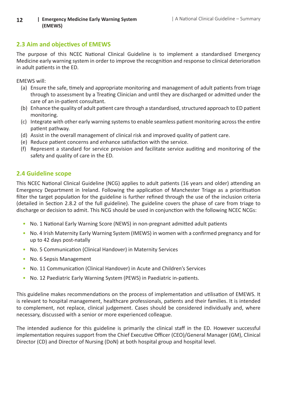## **2.3 Aim and objectives of EMEWS**

The purpose of this NCEC National Clinical Guideline is to implement a standardised Emergency Medicine early warning system in order to improve the recognition and response to clinical deterioration in adult patients in the ED.

EMEWS will:

- (a) Ensure the safe, timely and appropriate monitoring and management of adult patients from triage through to assessment by a Treating Clinician and until they are discharged or admitted under the care of an in-patient consultant.
- (b) Enhance the quality of adult patient care through a standardised, structured approach to ED patient monitoring.
- (c) Integrate with other early warning systems to enable seamless patient monitoring across the entire patient pathway.
- (d) Assist in the overall management of clinical risk and improved quality of patient care.
- (e) Reduce patient concerns and enhance satisfaction with the service.
- (f) Represent a standard for service provision and facilitate service auditing and monitoring of the safety and quality of care in the ED.

## **2.4 Guideline scope**

This NCEC National Clinical Guideline (NCG) applies to adult patients (16 years and older) attending an Emergency Department in Ireland. Following the application of Manchester Triage as a prioritisation filter the target population for the guideline is further refined through the use of the inclusion criteria (detailed in Section 2.8.2 of the full guideline). The guideline covers the phase of care from triage to discharge or decision to admit. This NCG should be used in conjunction with the following NCEC NCGs:

- No. 1 National Early Warning Score (NEWS) in non-pregnant admitted adult patients
- No. 4 Irish Maternity Early Warning System (IMEWS) in women with a confirmed pregnancy and for up to 42 days post-natally
- No. 5 Communication (Clinical Handover) in Maternity Services
- No. 6 Sepsis Management
- No. 11 Communication (Clinical Handover) in Acute and Children's Services
- No. 12 Paediatric Early Warning System (PEWS) in Paediatric in-patients.

This guideline makes recommendations on the process of implementation and utilisation of EMEWS. It is relevant to hospital management, healthcare professionals, patients and their families. It is intended to complement, not replace, clinical judgement. Cases should be considered individually and, where necessary, discussed with a senior or more experienced colleague.

The intended audience for this guideline is primarily the clinical staff in the ED. However successful implementation requires support from the Chief Executive Officer (CEO)/General Manager (GM), Clinical Director (CD) and Director of Nursing (DoN) at both hospital group and hospital level.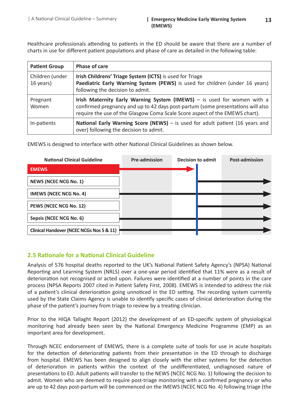Healthcare professionals attending to patients in the ED should be aware that there are a number of charts in use for different patient populations and phase of care as detailed in the following table:

| <b>Patient Group</b>         | <b>Phase of care</b>                                                                                                                                                                                                                        |
|------------------------------|---------------------------------------------------------------------------------------------------------------------------------------------------------------------------------------------------------------------------------------------|
| Children (under<br>16 years) | Irish Childrens' Triage System (ICTS) is used for Triage<br>Paediatric Early Warning System (PEWS) is used for children (under 16 years)<br>following the decision to admit.                                                                |
| Pregnant<br>Women            | Irish Maternity Early Warning System (IMEWS) $-$ is used for women with a<br>confirmed pregnancy and up to 42 days post-partum (some presentations will also<br>require the use of the Glasgow Coma Scale Score aspect of the EMEWS chart). |
| In-patients                  | <b>National Early Warning Score (NEWS)</b> $-$ is used for adult patient (16 years and<br>over) following the decision to admit.                                                                                                            |

EMEWS is designed to interface with other National Clinical Guidelines as shown below.

| <b>National Clinical Guideline</b>                  | <b>Pre-admission</b> | <b>Decision to admit</b> | Post-admission |
|-----------------------------------------------------|----------------------|--------------------------|----------------|
| <b>EMEWS</b>                                        |                      |                          |                |
| <b>NEWS (NCEC NCG No. 1)</b>                        |                      |                          |                |
| <b>IMEWS (NCEC NCG No. 4)</b>                       |                      |                          |                |
| PEWS (NCEC NCG No. 12)                              |                      |                          |                |
| Sepsis (NCEC NCG No. 6)                             |                      |                          |                |
| <b>Clinical Handover (NCEC NCGs Nos 5 &amp; 11)</b> |                      |                          |                |

## **2.5 Rationale for a National Clinical Guideline**

Analysis of 576 hospital deaths reported to the UK's National Patient Safety Agency's (NPSA) National Reporting and Learning System (NRLS) over a one-year period identified that 11% were as a result of deterioration not recognised or acted upon. Failures were identified at a number of points in the care process (NPSA Reports 2007 cited in Patient Safety First, 2008). EMEWS is intended to address the risk of a patient's clinical deterioration going unnoticed in the ED setting. The recording system currently used by the State Claims Agency is unable to identify specific cases of clinical deterioration during the phase of the patient's journey from triage to review by a treating clinician.

Prior to the HIQA Tallaght Report (2012) the development of an ED-specific system of physiological monitoring had already been seen by the National Emergency Medicine Programme (EMP) as an important area for development.

Through NCEC endorsement of EMEWS, there is a complete suite of tools for use in acute hospitals for the detection of deteriorating patients from their presentation in the ED through to discharge from hospital. EMEWS has been designed to align closely with the other systems for the detection of deterioration in patients within the context of the undifferentiated, undiagnosed nature of presentations to ED. Adult patients will transfer to the NEWS (NCEC NCG No. 1) following the decision to admit. Women who are deemed to require post-triage monitoring with a confirmed pregnancy or who are up to 42 days post-partum will be commenced on the IMEWS (NCEC NCG No. 4) following triage (the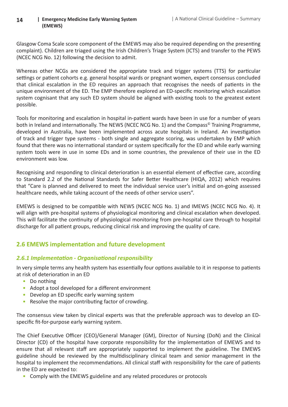## **14 | Emergency Medicine Early Warning System (EMEWS)**

Glasgow Coma Scale score component of the EMEWS may also be required depending on the presenting complaint). Children are triaged using the Irish Children's Triage System (ICTS) and transfer to the PEWS (NCEC NCG No. 12) following the decision to admit.

Whereas other NCGs are considered the appropriate track and trigger systems (TTS) for particular settings or patient cohorts e.g. general hospital wards or pregnant women, expert consensus concluded that clinical escalation in the ED requires an approach that recognises the needs of patients in the unique environment of the ED. The EMP therefore explored an ED-specific monitoring which escalation system cognisant that any such ED system should be aligned with existing tools to the greatest extent possible.

Tools for monitoring and escalation in hospital in-patient wards have been in use for a number of years both in Ireland and internationally. The NEWS (NCEC NCG No. 1) and the Compass<sup>®</sup> Training Programme, developed in Australia, have been implemented across acute hospitals in Ireland. An investigation of track and trigger type systems - both single and aggregate scoring, was undertaken by EMP which found that there was no international standard or system specifically for the ED and while early warning system tools were in use in some EDs and in some countries, the prevalence of their use in the ED environment was low.

Recognising and responding to clinical deterioration is an essential element of effective care, according to Standard 2.2 of the National Standards for Safer Better Healthcare (HIQA, 2012) which requires that "Care is planned and delivered to meet the individual service user's initial and on-going assessed healthcare needs, while taking account of the needs of other service users".

EMEWS is designed to be compatible with NEWS (NCEC NCG No. 1) and IMEWS (NCEC NCG No. 4). It will align with pre-hospital systems of physiological monitoring and clinical escalation when developed. This will facilitate the continuity of physiological monitoring from pre-hospital care through to hospital discharge for all patient groups, reducing clinical risk and improving the quality of care.

## **2.6 EMEWS implementation and future development**

## *2.6.1 Implementation - Organisational responsibility*

In very simple terms any health system has essentially four options available to it in response to patients at risk of deterioration in an ED

- Do nothing
- Adopt a tool developed for a different environment
- Develop an ED specific early warning system
- Resolve the major contributing factor of crowding.

The consensus view taken by clinical experts was that the preferable approach was to develop an EDspecific fit-for-purpose early warning system.

The Chief Executive Officer (CEO)/General Manager (GM), Director of Nursing (DoN) and the Clinical Director (CD) of the hospital have corporate responsibility for the implementation of EMEWS and to ensure that all relevant staff are appropriately supported to implement the guideline. The EMEWS guideline should be reviewed by the multidisciplinary clinical team and senior management in the hospital to implement the recommendations. All clinical staff with responsibility for the care of patients in the ED are expected to:

• Comply with the EMEWS guideline and any related procedures or protocols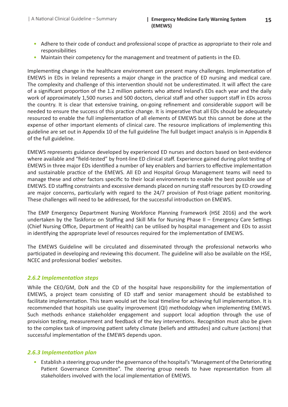- Adhere to their code of conduct and professional scope of practice as appropriate to their role and responsibilities
- Maintain their competency for the management and treatment of patients in the ED.

Implementing change in the healthcare environment can present many challenges. Implementation of EMEWS in EDs in Ireland represents a major change in the practice of ED nursing and medical care. The complexity and challenge of this intervention should not be underestimated. It will affect the care of a significant proportion of the 1.2 million patients who attend Ireland's EDs each year and the daily work of approximately 1,500 nurses and 500 doctors, clerical staff and other support staff in EDs across the country. It is clear that extensive training, on-going refinement and considerable support will be needed to ensure the success of this practice change. It is imperative that all EDs should be adequately resourced to enable the full implementation of all elements of EMEWS but this cannot be done at the expense of other important elements of clinical care. The resource implications of implementing this guideline are set out in Appendix 10 of the full guideline The full budget impact analysis is in Appendix 8 of the full guideline.

EMEWS represents guidance developed by experienced ED nurses and doctors based on best-evidence where available and "field-tested" by front-line ED clinical staff. Experience gained during pilot testing of EMEWS in three major EDs identified a number of key enablers and barriers to effective implementation and sustainable practice of the EMEWS. All ED and Hospital Group Management teams will need to manage these and other factors specific to their local environments to enable the best possible use of EMEWS. ED staffing constraints and excessive demands placed on nursing staff resources by ED crowding are major concerns, particularly with regard to the 24/7 provision of Post-triage patient monitoring. These challenges will need to be addressed, for the successful introduction on EMEWS.

The EMP Emergency Department Nursing Workforce Planning Framework (HSE 2016) and the work undertaken by the Taskforce on Staffing and Skill Mix for Nursing Phase II – Emergency Care Settings (Chief Nursing Office, Department of Health) can be utilised by hospital management and EDs to assist in identifying the appropriate level of resources required for the implementation of EMEWS.

The EMEWS Guideline will be circulated and disseminated through the professional networks who participated in developing and reviewing this document. The guideline will also be available on the HSE, NCEC and professional bodies' websites.

## *2.6.2 Implementation steps*

While the CEO/GM, DoN and the CD of the hospital have responsibility for the implementation of EMEWS, a project team consisting of ED staff and senior management should be established to facilitate implementation. This team would set the local timeline for achieving full implementation. It is recommended that hospitals use quality improvement (QI) methodology when implementing EMEWS. Such methods enhance stakeholder engagement and support local adoption through the use of provision testing, measurement and feedback of the key interventions. Recognition must also be given to the complex task of improving patient safety climate (beliefs and attitudes) and culture (actions) that successful implementation of the EMEWS depends upon.

## *2.6.3 Implementation plan*

• Establish a steering group under the governance of the hospital's "Management of the Deteriorating Patient Governance Committee". The steering group needs to have representation from all stakeholders involved with the local implementation of EMEWS.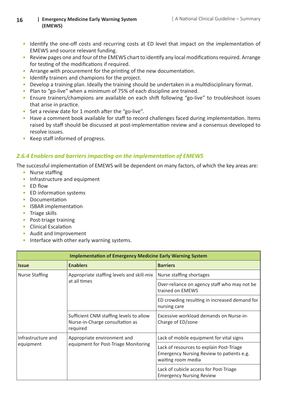- Identify the one-off costs and recurring costs at ED level that impact on the implementation of EMEWS and source relevant funding.
- Review pages one and four of the EMEWS chart to identify any local modifications required. Arrange for testing of the modifications if required.
- Arrange with procurement for the printing of the new documentation.
- Identify trainers and champions for the project.
- Develop a training plan. Ideally the training should be undertaken in a multidisciplinary format.
- Plan to "go-live" when a minimum of 75% of each discipline are trained.
- Ensure trainers/champions are available on each shift following "go-live" to troubleshoot issues that arise in practice.
- Set a review date for 1 month after the "go-live".
- Have a comment book available for staff to record challenges faced during implementation. Items raised by staff should be discussed at post-implementation review and a consensus developed to resolve issues.
- Keep staff informed of progress.

## *2.6.4 Enablers and barriers impacting on the implementation of EMEWS*

The successful implementation of EMEWS will be dependent on many factors, of which the key areas are:

- Nurse staffing
- Infrastructure and equipment
- ED flow
- ED information systems
- Documentation
- ISBAR implementation
- Triage skills
- Post-triage training
- Clinical Escalation
- Audit and Improvement
- Interface with other early warning systems.

| <b>Implementation of Emergency Medicine Early Warning System</b> |                                                                                        |                                                                                                             |  |  |  |
|------------------------------------------------------------------|----------------------------------------------------------------------------------------|-------------------------------------------------------------------------------------------------------------|--|--|--|
| <b>Issue</b>                                                     | <b>Enablers</b>                                                                        | <b>Barriers</b>                                                                                             |  |  |  |
| <b>Nurse Staffing</b>                                            | Appropriate staffing levels and skill-mix                                              | Nurse staffing shortages                                                                                    |  |  |  |
|                                                                  | at all times                                                                           | Over-reliance on agency staff who may not be<br>trained on EMEWS                                            |  |  |  |
|                                                                  |                                                                                        | ED crowding resulting in increased demand for<br>nursing care                                               |  |  |  |
|                                                                  | Sufficient CNM staffing levels to allow<br>Nurse-in-Charge consultation as<br>required | Excessive workload demands on Nurse-in-<br>Charge of ED/zone                                                |  |  |  |
| Infrastructure and                                               | Appropriate environment and                                                            | Lack of mobile equipment for vital signs                                                                    |  |  |  |
| equipment                                                        | equipment for Post-Triage Monitoring                                                   | Lack of resources to explain Post-Triage<br>Emergency Nursing Review to patients e.g.<br>waiting room media |  |  |  |
|                                                                  |                                                                                        | Lack of cubicle access for Post-Triage<br><b>Emergency Nursing Review</b>                                   |  |  |  |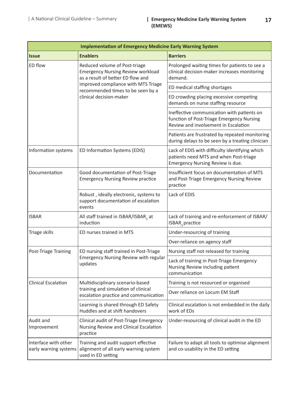| <b>Implementation of Emergency Medicine Early Warning System</b> |                                                                                                                |                                                                                                                                 |  |  |  |
|------------------------------------------------------------------|----------------------------------------------------------------------------------------------------------------|---------------------------------------------------------------------------------------------------------------------------------|--|--|--|
| <b>Issue</b>                                                     | <b>Enablers</b>                                                                                                | <b>Barriers</b>                                                                                                                 |  |  |  |
| ED flow                                                          | Reduced volume of Post-triage<br><b>Emergency Nursing Review workload</b><br>as a result of better ED flow and | Prolonged waiting times for patients to see a<br>clinical decision-maker increases monitoring<br>demand.                        |  |  |  |
|                                                                  | improved compliance with MTS Triage<br>recommended times to be seen by a                                       | ED medical staffing shortages                                                                                                   |  |  |  |
|                                                                  | clinical decision-maker                                                                                        | ED crowding placing excessive competing<br>demands on nurse staffing resource                                                   |  |  |  |
|                                                                  |                                                                                                                | Ineffective communication with patients on<br>function of Post-Triage Emergency Nursing<br>Review and involvement in Escalation |  |  |  |
|                                                                  |                                                                                                                | Patients are frustrated by repeated monitoring<br>during delays to be seen by a treating clinician                              |  |  |  |
| Information systems                                              | ED Information Systems (EDIS)                                                                                  | Lack of EDIS with difficulty identifying which<br>patients need MTS and when Post-triage<br>Emergency Nursing Review is due.    |  |  |  |
| Documentation                                                    | Good documentation of Post-Triage<br><b>Emergency Nursing Review practice</b>                                  | Insufficient focus on documentation of MTS<br>and Post-Triage Emergency Nursing Review<br>practice                              |  |  |  |
|                                                                  | Robust, ideally electronic, systems to<br>support documentation of escalation<br>events                        | Lack of EDIS                                                                                                                    |  |  |  |
| <b>ISBAR</b>                                                     | All staff trained in ISBAR/ISBAR, at<br>induction                                                              | Lack of training and re-enforcement of ISBAR/<br>ISBAR <sub>3</sub> practice                                                    |  |  |  |
| Triage skills                                                    | ED nurses trained in MTS                                                                                       | Under-resourcing of training                                                                                                    |  |  |  |
|                                                                  |                                                                                                                | Over-reliance on agency staff                                                                                                   |  |  |  |
| Post-Triage Training                                             | ED nursing staff trained in Post-Triage                                                                        | Nursing staff not released for training                                                                                         |  |  |  |
|                                                                  | <b>Emergency Nursing Review with regular</b><br>updates                                                        | Lack of training in Post-Triage Emergency<br>Nursing Review including patient<br>communication                                  |  |  |  |
| <b>Clinical Escalation</b>                                       | Multidisciplinary scenario-based                                                                               | Training is not resourced or organised                                                                                          |  |  |  |
|                                                                  | training and simulation of clinical<br>escalation practice and communication                                   | Over reliance on Locum EM Staff                                                                                                 |  |  |  |
|                                                                  | Learning is shared through ED Safety<br>Huddles and at shift handovers                                         | Clinical escalation is not embedded in the daily<br>work of EDs                                                                 |  |  |  |
| Audit and<br>Improvement                                         | Clinical audit of Post-Triage Emergency<br>Nursing Review and Clinical Escalation<br>practice                  | Under-resourcing of clinical audit in the ED                                                                                    |  |  |  |
| Interface with other<br>early warning systems                    | Training and audit support effective<br>alignment of all early warning system<br>used in ED setting            | Failure to adapt all tools to optimise alignment<br>and co-usability in the ED setting                                          |  |  |  |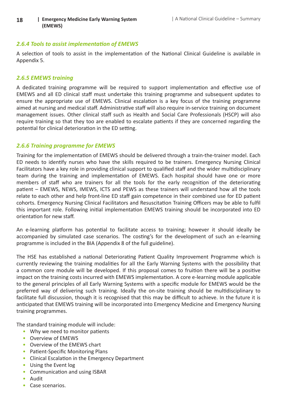## *2.6.4 Tools to assist implementation of EMEWS*

A selection of tools to assist in the implementation of the National Clinical Guideline is available in Appendix 5.

## *2.6.5 EMEWS training*

A dedicated training programme will be required to support implementation and effective use of EMEWS and all ED clinical staff must undertake this training programme and subsequent updates to ensure the appropriate use of EMEWS. Clinical escalation is a key focus of the training programme aimed at nursing and medical staff. Administrative staff will also require in-service training on document management issues. Other clinical staff such as Health and Social Care Professionals (HSCP) will also require training so that they too are enabled to escalate patients if they are concerned regarding the potential for clinical deterioration in the ED setting.

## *2.6.6 Training programme for EMEWS*

Training for the implementation of EMEWS should be delivered through a train-the-trainer model. Each ED needs to identify nurses who have the skills required to be trainers. Emergency Nursing Clinical Facilitators have a key role in providing clinical support to qualified staff and the wider multidisciplinary team during the training and implementation of EMEWS. Each hospital should have one or more members of staff who are trainers for all the tools for the early recognition of the deteriorating patient – EMEWS, NEWS, IMEWS, ICTS and PEWS as these trainers will understand how all the tools relate to each other and help front-line ED staff gain competence in their combined use for ED patient cohorts. Emergency Nursing Clinical Facilitators and Resuscitation Training Officers may be able to fulfil this important role. Following initial implementation EMEWS training should be incorporated into ED orientation for new staff.

An e-learning platform has potential to facilitate access to training; however it should ideally be accompanied by simulated case scenarios. The costing's for the development of such an e-learning programme is included in the BIA (Appendix 8 of the full guideline).

The HSE has established a national Deteriorating Patient Quality Improvement Programme which is currently reviewing the training modalities for all the Early Warning Systems with the possibility that a common core module will be developed. If this proposal comes to fruition there will be a positive impact on the training costs incurred with EMEWS implementation. A core e-learning module applicable to the general principles of all Early Warning Systems with a specific module for EMEWS would be the preferred way of delivering such training. Ideally the on-site training should be multidisciplinary to facilitate full discussion, though it is recognised that this may be difficult to achieve. In the future it is anticipated that EMEWS training will be incorporated into Emergency Medicine and Emergency Nursing training programmes.

The standard training module will include:

- Why we need to monitor patients
- Overview of EMEWS
- Overview of the EMEWS chart
- Patient-Specific Monitoring Plans
- Clinical Escalation in the Emergency Department
- Using the Event log
- Communication and using ISBAR
- Audit
- Case scenarios.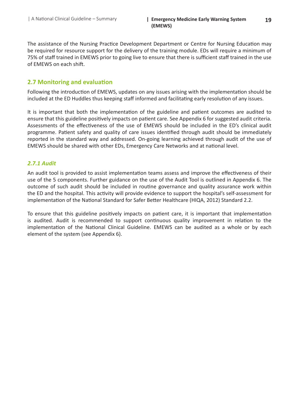The assistance of the Nursing Practice Development Department or Centre for Nursing Education may be required for resource support for the delivery of the training module. EDs will require a minimum of 75% of staff trained in EMEWS prior to going live to ensure that there is sufficient staff trained in the use of EMEWS on each shift.

## **2.7 Monitoring and evaluation**

Following the introduction of EMEWS, updates on any issues arising with the implementation should be included at the ED Huddles thus keeping staff informed and facilitating early resolution of any issues.

It is important that both the implementation of the guideline and patient outcomes are audited to ensure that this guideline positively impacts on patient care. See Appendix 6 for suggested audit criteria. Assessments of the effectiveness of the use of EMEWS should be included in the ED's clinical audit programme. Patient safety and quality of care issues identified through audit should be immediately reported in the standard way and addressed. On-going learning achieved through audit of the use of EMEWS should be shared with other EDs, Emergency Care Networks and at national level.

## *2.7.1 Audit*

An audit tool is provided to assist implementation teams assess and improve the effectiveness of their use of the 5 components. Further guidance on the use of the Audit Tool is outlined in Appendix 6. The outcome of such audit should be included in routine governance and quality assurance work within the ED and the hospital. This activity will provide evidence to support the hospital's self-assessment for implementation of the National Standard for Safer Better Healthcare (HIQA, 2012) Standard 2.2.

To ensure that this guideline positively impacts on patient care, it is important that implementation is audited. Audit is recommended to support continuous quality improvement in relation to the implementation of the National Clinical Guideline. EMEWS can be audited as a whole or by each element of the system (see Appendix 6).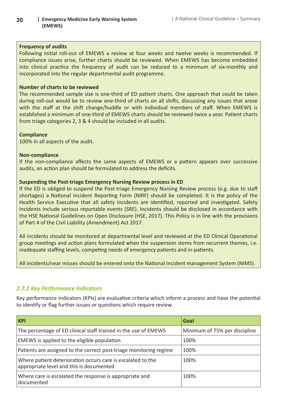## **Frequency of audits**

Following initial roll-out of EMEWS a review at four weeks and twelve weeks is recommended. If compliance issues arise, further charts should be reviewed. When EMEWS has become embedded into clinical practice the frequency of audit can be reduced to a minimum of six-monthly and incorporated into the regular departmental audit programme.

## **Number of charts to be reviewed**

The recommended sample size is one-third of ED patient charts. One approach that could be taken during roll-out would be to review one-third of charts on all shifts, discussing any issues that arose with the staff at the shift change/huddle or with individual members of staff. When EMEWS is established a minimum of one-third of EMEWS charts should be reviewed twice a year. Patient charts from triage categories 2, 3 & 4 should be included in all audits.

## **Compliance**

100% in all aspects of the audit.

## **Non-compliance**

If the non-compliance affects the same aspects of EMEWS or a pattern appears over successive audits, an action plan should be formulated to address the deficits.

## **Suspending the Post-triage Emergency Nursing Review process in ED**

If the ED is obliged to suspend the Post-triage Emergency Nursing Review process (e.g. due to staff shortages) a National Incident Reporting Form (NIRF) should be completed. It is the policy of the Health Service Executive that all safety incidents are identified, reported and investigated. Safety Incidents include serious reportable events (SRE). Incidents should be disclosed in accordance with the HSE National Guidelines on Open Disclosure (HSE, 2017). This Policy is in line with the provisions of Part 4 of the Civil Liability (Amendment) Act 2017.

All incidents should be monitored at departmental level and reviewed at the ED Clinical Operational group meetings and action plans formulated when the suspension stems from recurrent themes, i.e. inadequate staffing levels, competing needs of emergency patients and in-patients.

All incidents/near misses should be entered onto the National Incident management System (NIMS).

## *2.7.2 Key Performance Indicators*

Key performance indicators (KPIs) are evaluative criteria which inform a process and have the potential to identify or flag further issues or questions which require review.

| <b>KPI</b>                                                                                              | Goal                          |
|---------------------------------------------------------------------------------------------------------|-------------------------------|
| The percentage of ED clinical staff trained in the use of EMEWS                                         | Minimum of 75% per discipline |
| EMEWS is applied to the eligible population                                                             | 100%                          |
| Patients are assigned to the correct post-triage monitoring regime                                      | 100%                          |
| Where patient deterioration occurs care is escalated to the<br>appropriate level and this is documented | 100%                          |
| Where care is escalated the response is appropriate and<br>documented                                   | 100%                          |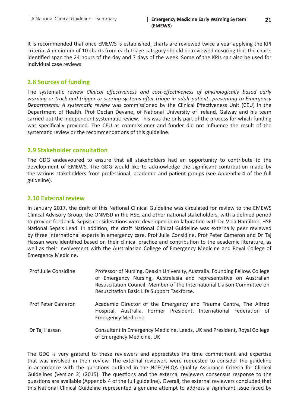It is recommended that once EMEWS is established, charts are reviewed twice a year applying the KPI criteria. A minimum of 10 charts from each triage category should be reviewed ensuring that the charts identified span the 24 hours of the day and 7 days of the week. Some of the KPIs can also be used for individual case reviews.

## **2.8 Sources of funding**

The systematic review *Clinical effectiveness and cost-effectiveness of physiologically based early warning or track and trigger or scoring systems after triage in adult patients presenting to Emergency Departments: A systematic review* was commissioned by the Clinical Effectiveness Unit (CEU) in the Department of Health. Prof Declan Devane, of National University of Ireland, Galway and his team carried out the independent systematic review. This was the only part of the process for which funding was specifically provided. The CEU as commissioner and funder did not influence the result of the systematic review or the recommendations of this guideline.

## **2.9 Stakeholder consultation**

The GDG endeavoured to ensure that all stakeholders had an opportunity to contribute to the development of EMEWS. The GDG would like to acknowledge the significant contribution made by the various stakeholders from professional, academic and patient groups (see Appendix 4 of the full guideline).

## **2.10 External review**

In January 2017, the draft of this National Clinical Guideline was circulated for review to the EMEWS Clinical Advisory Group, the ONMSD in the HSE, and other national stakeholders, with a defined period to provide feedback. Sepsis considerations were developed in collaboration with Dr. Vida Hamilton, HSE National Sepsis Lead. In addition, the draft National Clinical Guideline was externally peer reviewed by three international experts in emergency care. Prof Julie Considine, Prof Peter Cameron and Dr Taj Hassan were identified based on their clinical practice and contribution to the academic literature, as well as their involvement with the Australasian College of Emergency Medicine and Royal College of Emergency Medicine.

| Prof Julie Considine      | Professor of Nursing, Deakin University, Australia. Founding Fellow, College<br>of Emergency Nursing, Australasia and representative on Australian<br>Resuscitation Council. Member of the International Liaison Committee on<br>Resuscitation Basic Life Support Taskforce. |
|---------------------------|------------------------------------------------------------------------------------------------------------------------------------------------------------------------------------------------------------------------------------------------------------------------------|
| <b>Prof Peter Cameron</b> | Academic Director of the Emergency and Trauma Centre, The Alfred<br>Hospital, Australia. Former President, International Federation of<br><b>Emergency Medicine</b>                                                                                                          |
| Dr Taj Hassan             | Consultant in Emergency Medicine, Leeds, UK and President, Royal College<br>of Emergency Medicine, UK                                                                                                                                                                        |

The GDG is very grateful to these reviewers and appreciates the time commitment and expertise that was involved in their review. The external reviewers were requested to consider the guideline in accordance with the questions outlined in the NCEC/HIQA Quality Assurance Criteria for Clinical Guidelines (Version 2) (2015). The questions and the external reviewers consensus response to the questions are available (Appendix 4 of the full guideline). Overall, the external reviewers concluded that this National Clinical Guideline represented a genuine attempt to address a significant issue faced by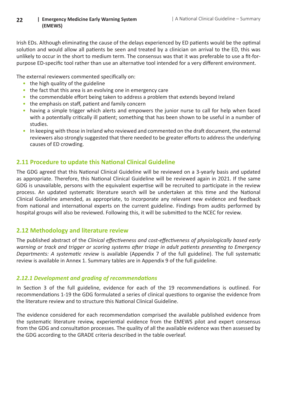## **22 | Emergency Medicine Early Warning System (EMEWS)**

Irish EDs. Although eliminating the cause of the delays experienced by ED patients would be the optimal solution and would allow all patients be seen and treated by a clinician on arrival to the ED, this was unlikely to occur in the short to medium term. The consensus was that it was preferable to use a fit-forpurpose ED-specific tool rather than use an alternative tool intended for a very different environment.

The external reviewers commented specifically on:

- the high quality of the guideline
- the fact that this area is an evolving one in emergency care
- the commendable effort being taken to address a problem that extends beyond Ireland
- the emphasis on staff, patient and family concern
- having a simple trigger which alerts and empowers the junior nurse to call for help when faced with a potentially critically ill patient; something that has been shown to be useful in a number of studies.
- In keeping with those in Ireland who reviewed and commented on the draft document, the external reviewers also strongly suggested that there needed to be greater efforts to address the underlying causes of ED crowding.

## **2.11 Procedure to update this National Clinical Guideline**

The GDG agreed that this National Clinical Guideline will be reviewed on a 3-yearly basis and updated as appropriate. Therefore, this National Clinical Guideline will be reviewed again in 2021. If the same GDG is unavailable, persons with the equivalent expertise will be recruited to participate in the review process. An updated systematic literature search will be undertaken at this time and the National Clinical Guideline amended, as appropriate, to incorporate any relevant new evidence and feedback from national and international experts on the current guideline. Findings from audits performed by hospital groups will also be reviewed. Following this, it will be submitted to the NCEC for review.

## **2.12 Methodology and literature review**

The published abstract of the *Clinical effectiveness and cost-effectiveness of physiologically based early warning or track and trigger or scoring systems after triage in adult patients presenting to Emergency Departments: A systematic review* is available (Appendix 7 of the full guideline). The full systematic review is available in Annex 1. Summary tables are in Appendix 9 of the full guideline.

## *2.12.1 Development and grading of recommendations*

In Section 3 of the full guideline, evidence for each of the 19 recommendations is outlined. For recommendations 1-19 the GDG formulated a series of clinical questions to organise the evidence from the literature review and to structure this National Clinical Guideline.

The evidence considered for each recommendation comprised the available published evidence from the systematic literature review, experiential evidence from the EMEWS pilot and expert consensus from the GDG and consultation processes. The quality of all the available evidence was then assessed by the GDG according to the GRADE criteria described in the table overleaf.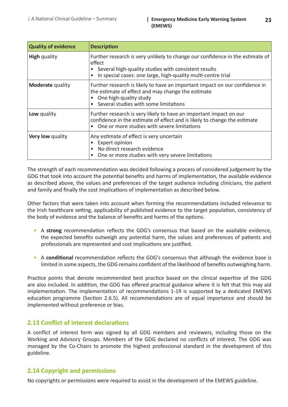| <b>Quality of evidence</b> | <b>Description</b>                                                                                                                                                                                                |
|----------------------------|-------------------------------------------------------------------------------------------------------------------------------------------------------------------------------------------------------------------|
| <b>High quality</b>        | Further research is very unlikely to change our confidence in the estimate of<br>effect<br>• Several high-quality studies with consistent results<br>In special cases: one large, high-quality multi-centre trial |
| <b>Moderate</b> quality    | Further research is likely to have an important impact on our confidence in<br>the estimate of effect and may change the estimate<br>• One high-quality study<br>• Several studies with some limitations          |
| Low quality                | Further research is very likely to have an important impact on our<br>confidence in the estimate of effect and is likely to change the estimate<br>• One or more studies with severe limitations                  |
| <b>Very low</b> quality    | Any estimate of effect is very uncertain<br>• Expert opinion<br>No direct research evidence<br>One or more studies with very severe limitations                                                                   |

The strength of each recommendation was decided following a process of considered judgement by the GDG that took into account the potential benefits and harms of implementation, the available evidence as described above, the values and preferences of the target audience including clinicians, the patient and family and finally the cost implications of implementation as described below.

Other factors that were taken into account when forming the recommendations included relevance to the Irish healthcare setting, applicability of published evidence to the target population, consistency of the body of evidence and the balance of benefits and harms of the options.

- A **strong** recommendation reflects the GDG's consensus that based on the available evidence, the expected benefits outweigh any potential harm, the values and preferences of patients and professionals are represented and cost implications are justified.
- A **conditional** recommendation reflects the GDG's consensus that although the evidence base is limited in some aspects, the GDG remains confident of the likelihood of benefits outweighing harm.

Practice points that denote recommended best practice based on the clinical expertise of the GDG are also included. In addition, the GDG has offered practical guidance where it is felt that this may aid implementation. The implementation of recommendations 1-19 is supported by a dedicated EMEWS education programme (Section 2.6.5). All recommendations are of equal importance and should be implemented without preference or bias.

## **2.13 Conflict of interest declarations**

A conflict of interest form was signed by all GDG members and reviewers, including those on the Working and Advisory Groups. Members of the GDG declared no conflicts of interest. The GDG was managed by the Co-Chairs to promote the highest professional standard in the development of this guideline.

## **2.14 Copyright and permissions**

No copyrights or permissions were required to assist in the development of the EMEWS guideline.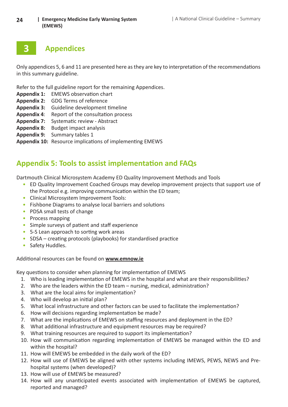

## **3 Appendices**

Only appendices 5, 6 and 11 are presented here as they are key to interpretation of the recommendations in this summary guideline.

Refer to the full guideline report for the remaining Appendices.

- **Appendix 1:** EMEWS observation chart
- **Appendix 2:** GDG Terms of reference
- **Appendix 3:** Guideline development timeline
- **Appendix 4**: Report of the consultation process
- **Appendix 7:** Systematic review Abstract
- **Appendix 8:** Budget impact analysis
- **Appendix 9:** Summary tables 1

## **Appendix 10:** Resource implications of implementing EMEWS

## **Appendix 5: Tools to assist implementation and FAQs**

Dartmouth Clinical Microsystem Academy ED Quality Improvement Methods and Tools

- ED Quality Improvement Coached Groups may develop improvement projects that support use of the Protocol e.g. improving communication within the ED team;
- Clinical Microsystem Improvement Tools:
- Fishbone Diagrams to analyse local barriers and solutions
- PDSA small tests of change
- Process mapping
- Simple surveys of patient and staff experience
- 5-S Lean approach to sorting work areas
- SDSA creating protocols (playbooks) for standardised practice
- Safety Huddles.

## Additional resources can be found on **[www.emnow.ie](http://www.emnow.ie)**

Key questions to consider when planning for implementation of EMEWS

- 1. Who is leading implementation of EMEWS in the hospital and what are their responsibilities?
- 2. Who are the leaders within the ED team nursing, medical, administration?
- 3. What are the local aims for implementation?
- 4. Who will develop an initial plan?
- 5. What local infrastructure and other factors can be used to facilitate the implementation?
- 6. How will decisions regarding implementation be made?
- 7. What are the implications of EMEWS on staffing resources and deployment in the ED?
- 8. What additional infrastructure and equipment resources may be required?
- 9. What training resources are required to support its implementation?
- 10. How will communication regarding implementation of EMEWS be managed within the ED and within the hospital?
- 11. How will EMEWS be embedded in the daily work of the ED?
- 12. How will use of EMEWS be aligned with other systems including IMEWS, PEWS, NEWS and Prehospital systems (when developed)?
- 13. How will use of EMEWS be measured?
- 14. How will any unanticipated events associated with implementation of EMEWS be captured, reported and managed?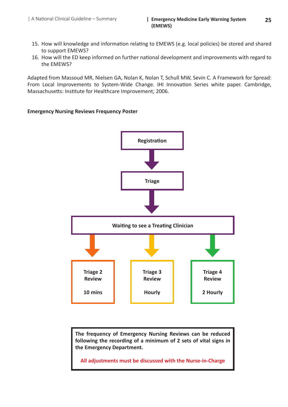- 15. How will knowledge and information relating to EMEWS (e.g. local policies) be stored and shared to support EMEWS?
- 16. How will the ED keep informed on further national development and improvements with regard to the EMEWS?

Adapted from Massoud MR, Nielsen GA, Nolan K, Nolan T, Schull MW, Sevin C. A Framework for Spread: From Local Improvements to System-Wide Change. IHI Innovation Series white paper. Cambridge, Massachusetts: Institute for Healthcare Improvement; 2006.

## **Emergency Nursing Reviews Frequency Poster**



**The frequency of Emergency Nursing Reviews can be reduced following the recording of a minimum of 2 sets of vital signs in the Emergency Department.**

**All adjustments must be discussed with the Nurse-in-Charge**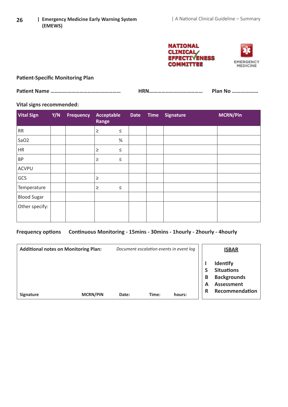## **26 | Emergency Medicine Early Warning System (EMEWS)**



## **Patient-Specific Monitoring Plan**

|  |  | Plan No |
|--|--|---------|
|--|--|---------|

## **Vital signs recommended:**

| <b>Vital Sign</b>  | Y/N | <b>Frequency</b> | <b>Acceptable</b><br>Range |        | <b>Date</b> | <b>Time</b> | <b>Signature</b> | <b>MCRN/Pin</b> |
|--------------------|-----|------------------|----------------------------|--------|-------------|-------------|------------------|-----------------|
| RR                 |     |                  | $\geq$                     | $\leq$ |             |             |                  |                 |
| SaO <sub>2</sub>   |     |                  |                            | $\%$   |             |             |                  |                 |
| HR                 |     |                  | $\geq$                     | $\leq$ |             |             |                  |                 |
| <b>BP</b>          |     |                  | $\geq$                     | $\leq$ |             |             |                  |                 |
| <b>ACVPU</b>       |     |                  |                            |        |             |             |                  |                 |
| GCS                |     |                  | $\geq$                     |        |             |             |                  |                 |
| Temperature        |     |                  | $\geq$                     | $\leq$ |             |             |                  |                 |
| <b>Blood Sugar</b> |     |                  |                            |        |             |             |                  |                 |
| Other specify:     |     |                  |                            |        |             |             |                  |                 |

## **Frequency options Continuous Monitoring - 15mins - 30mins - 1hourly - 2hourly - 4hourly**

| <b>Additional notes on Monitoring Plan:</b> |       |       | Document escalation events in event log |                  | <b>ISBAR</b>                                                                               |
|---------------------------------------------|-------|-------|-----------------------------------------|------------------|--------------------------------------------------------------------------------------------|
| <b>MCRN/PIN</b><br><b>Signature</b>         | Date: | Time: | hours:                                  | S<br>B<br>A<br>R | Identify<br><b>Situations</b><br><b>Backgrounds</b><br><b>Assessment</b><br>Recommendation |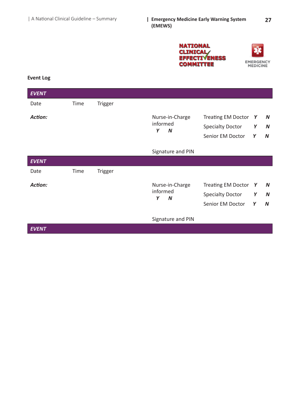



## **Event Log**

| <b>EVENT</b> |      |                |                                                      |                                                                          |             |                                                          |
|--------------|------|----------------|------------------------------------------------------|--------------------------------------------------------------------------|-------------|----------------------------------------------------------|
| Date         | Time | <b>Trigger</b> |                                                      |                                                                          |             |                                                          |
| Action:      |      |                | Nurse-in-Charge<br>informed<br>Y<br>$\boldsymbol{N}$ | <b>Treating EM Doctor</b><br><b>Specialty Doctor</b><br>Senior EM Doctor | Y<br>Y<br>Y | N<br>$\boldsymbol{N}$<br>N                               |
|              |      |                | Signature and PIN                                    |                                                                          |             |                                                          |
| <b>EVENT</b> |      |                |                                                      |                                                                          |             |                                                          |
| Date         | Time | <b>Trigger</b> |                                                      |                                                                          |             |                                                          |
| Action:      |      |                | Nurse-in-Charge<br>informed<br>Y<br>N                | <b>Treating EM Doctor</b><br><b>Specialty Doctor</b><br>Senior EM Doctor | Y<br>Υ<br>Y | $\boldsymbol{N}$<br>$\boldsymbol{N}$<br>$\boldsymbol{N}$ |
|              |      |                | Signature and PIN                                    |                                                                          |             |                                                          |
| <b>EVENT</b> |      |                |                                                      |                                                                          |             |                                                          |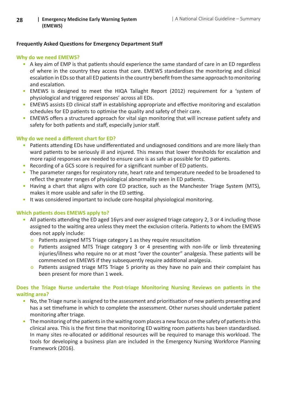## **Frequently Asked Questions for Emergency Department Staff**

## **Why do we need EMEWS?**

- A key aim of EMP is that patients should experience the same standard of care in an ED regardless of where in the country they access that care. EMEWS standardises the monitoring and clinical escalation in EDs so that all ED patients in the country benefit from the same approach to monitoring and escalation.
- EMEWS is designed to meet the HIQA Tallaght Report (2012) requirement for a 'system of physiological and triggered responses' across all EDs.
- EMEWS assists ED clinical staff in establishing appropriate and effective monitoring and escalation schedules for ED patients to optimise the quality and safety of their care.
- EMEWS offers a structured approach for vital sign monitoring that will increase patient safety and safety for both patients and staff, especially junior staff.

## **Why do we need a different chart for ED?**

- Patients attending EDs have undifferentiated and undiagnosed conditions and are more likely than ward patients to be seriously ill and injured. This means that lower thresholds for escalation and more rapid responses are needed to ensure care is as safe as possible for ED patients.
- Recording of a GCS score is required for a significant number of ED patients.
- The parameter ranges for respiratory rate, heart rate and temperature needed to be broadened to reflect the greater ranges of physiological abnormality seen in ED patients.
- Having a chart that aligns with core ED practice, such as the Manchester Triage System (MTS), makes it more usable and safer in the ED setting.
- It was considered important to include core-hospital physiological monitoring.

#### **Which patients does EMEWS apply to?**

- All patients attending the ED aged 16yrs and over assigned triage category 2, 3 or 4 including those assigned to the waiting area unless they meet the exclusion criteria. Patients to whom the EMEWS does not apply include:
	- o Patients assigned MTS Triage category 1 as they require resuscitation
	- o Patients assigned MTS Triage category 3 or 4 presenting with non-life or limb threatening injuries/illness who require no or at most "over the counter" analgesia. These patients will be commenced on EMEWS if they subsequently require additional analgesia.
	- o Patients assigned triage MTS Triage 5 priority as they have no pain and their complaint has been present for more than 1 week.

## **Does the Triage Nurse undertake the Post-triage Monitoring Nursing Reviews on patients in the waiting area?**

- No, the Triage nurse is assigned to the assessment and prioritisation of new patients presenting and has a set timeframe in which to complete the assessment. Other nurses should undertake patient monitoring after triage.
- The monitoring of the patients in the waiting room places a new focus on the safety of patients in this clinical area. This is the first time that monitoring ED waiting room patients has been standardised. In many sites re-allocated or additional resources will be required to manage this workload. The tools for developing a business plan are included in the Emergency Nursing Workforce Planning Framework (2016).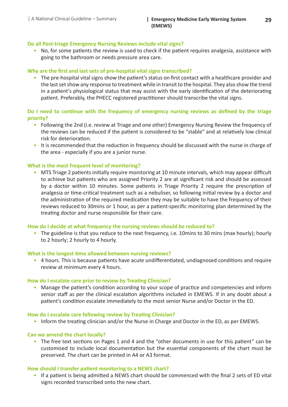## **Do all Post-triage Emergency Nursing Reviews include vital signs?**

• No, for some patients the review is used to check if the patient requires analgesia, assistance with going to the bathroom or needs pressure area care.

## **Why are the first and last sets of pre-hospital vital signs transcribed?**

• The pre-hospital vital signs show the patient's status on first contact with a healthcare provider and the last set show any response to treatment while in transit to the hospital. They also show the trend in a patient's physiological status that may assist with the early identification of the deteriorating patient. Preferably, the PHECC registered practitioner should transcribe the vital signs.

## **Do I need to continue with the frequency of emergency nursing reviews as defined by the triage priority?**

- Following the 2nd (i.e. review at Triage and one other) Emergency Nursing Review the frequency of the reviews can be reduced if the patient is considered to be "stable" and at relatively low clinical risk for deterioration.
- It is recommended that the reduction in frequency should be discussed with the nurse in charge of the area - especially if you are a junior nurse.

## **What is the most frequent level of monitoring?**

• MTS Triage 2 patients initially require monitoring at 10 minute intervals, which may appear difficult to achieve but patients who are assigned Priority 2 are at significant risk and should be assessed by a doctor within 10 minutes. Some patients in Triage Priority 2 require the prescription of analgesia or time-critical treatment such as a nebuliser, so following initial review by a doctor and the administration of the required medication they may be suitable to have the frequency of their reviews reduced to 30mins or 1 hour, as per a patient-specific monitoring plan determined by the treating doctor and nurse responsible for their care.

## **How do I decide at what frequency the nursing reviews should be reduced to?**

• The guideline is that you reduce to the next frequency, i.e. 10mins to 30 mins (max hourly); hourly to 2 hourly; 2 hourly to 4 hourly.

## **What is the longest time allowed between nursing reviews?**

• 4 hours. This is because patients have acute undifferentiated, undiagnosed conditions and require review at minimum every 4 hours.

## **How do I escalate care prior to review by Treating Clinician?**

• Manage the patient's condition according to your scope of practice and competencies and inform senior staff as per the clinical escalation algorithms included in EMEWS. If in any doubt about a patient's condition escalate immediately to the most senior Nurse and/or Doctor in the ED.

#### **How do I escalate care following review by Treating Clinician?**

• Inform the treating clinician and/or the Nurse in Charge and Doctor in the ED, as per EMEWS.

## **Can we amend the chart locally?**

• The free text sections on Pages 1 and 4 and the "other documents in use for this patient" can be customised to include local documentation but the essential components of the chart must be preserved. The chart can be printed in A4 or A3 format.

## **How should I transfer patient monitoring to a NEWS chart?**

• If a patient is being admitted a NEWS chart should be commenced with the final 2 sets of ED vital signs recorded transcribed onto the new chart.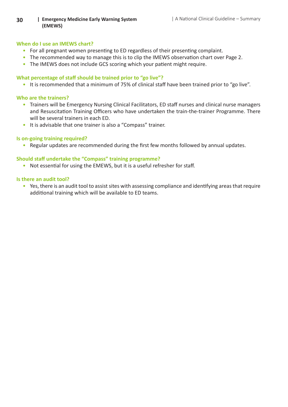## **30 | Emergency Medicine Early Warning System (EMEWS)**

## **When do I use an IMEWS chart?**

- For all pregnant women presenting to ED regardless of their presenting complaint.
- The recommended way to manage this is to clip the IMEWS observation chart over Page 2.
- The IMEWS does not include GCS scoring which your patient might require.

## **What percentage of staff should be trained prior to "go live"?**

• It is recommended that a minimum of 75% of clinical staff have been trained prior to "go live".

## **Who are the trainers?**

- Trainers will be Emergency Nursing Clinical Facilitators, ED staff nurses and clinical nurse managers and Resuscitation Training Officers who have undertaken the train-the-trainer Programme. There will be several trainers in each ED.
- It is advisable that one trainer is also a "Compass" trainer.

## **Is on-going training required?**

• Regular updates are recommended during the first few months followed by annual updates.

## **Should staff undertake the "Compass" training programme?**

• Not essential for using the EMEWS, but it is a useful refresher for staff.

## **Is there an audit tool?**

• Yes, there is an audit tool to assist sites with assessing compliance and identifying areas that require additional training which will be available to ED teams.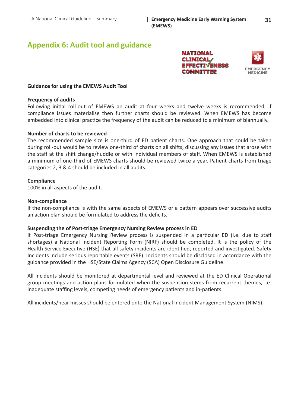## **Appendix 6: Audit tool and guidance**

## **Guidance for using the EMEWS Audit Tool**

#### **Frequency of audits**

Following initial roll-out of EMEWS an audit at four weeks and twelve weeks is recommended, if compliance issues materialise then further charts should be reviewed. When EMEWS has become embedded into clinical practice the frequency of the audit can be reduced to a minimum of biannually.

## **Number of charts to be reviewed**

The recommended sample size is one-third of ED patient charts. One approach that could be taken during roll-out would be to review one-third of charts on all shifts, discussing any issues that arose with the staff at the shift change/huddle or with individual members of staff. When EMEWS is established a minimum of one-third of EMEWS charts should be reviewed twice a year. Patient charts from triage categories 2, 3 & 4 should be included in all audits.

## **Compliance**

100% in all aspects of the audit.

## **Non-compliance**

If the non-compliance is with the same aspects of EMEWS or a pattern appears over successive audits an action plan should be formulated to address the deficits.

#### **Suspending the of Post-triage Emergency Nursing Review process in ED**

If Post-triage Emergency Nursing Review process is suspended in a particular ED (i.e. due to staff shortages) a National Incident Reporting Form (NIRF) should be completed. It is the policy of the Health Service Executive (HSE) that all safety incidents are identified, reported and investigated. Safety Incidents include serious reportable events (SRE). Incidents should be disclosed in accordance with the guidance provided in the HSE/State Claims Agency (SCA) Open Disclosure Guideline.

All incidents should be monitored at departmental level and reviewed at the ED Clinical Operational group meetings and action plans formulated when the suspension stems from recurrent themes, i.e. inadequate staffing levels, competing needs of emergency patients and in-patients.

All incidents/near misses should be entered onto the National Incident Management System (NIMS).



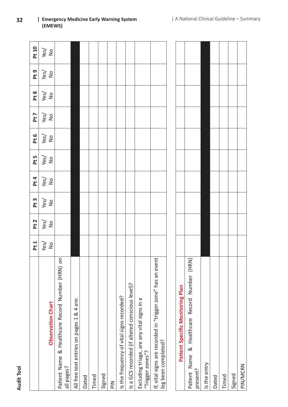| ī |
|---|
|   |
|   |
|   |
|   |
|   |
|   |

|                                                                                    | Pt <sub>1</sub> | Pt <sub>2</sub> | Pt <sub>3</sub> | Pt 4       | Pt 5       | Pt 6       | Pt 7       | Pt 8       | Pt 9       | Pt 10      |
|------------------------------------------------------------------------------------|-----------------|-----------------|-----------------|------------|------------|------------|------------|------------|------------|------------|
|                                                                                    | Yes/            |                 |                 |            |            |            |            |            |            |            |
| <b>Observation Chart</b>                                                           | $\frac{1}{2}$   | Yes/<br>No      | Yes/<br>No      | Yes/<br>No | Yes/<br>No | Yes/<br>No | Yes/<br>No | Yes/<br>No | Yes/<br>No | Yes/<br>No |
| Patient Name & Healthcare Record Number (HRN) on<br>all pages?                     |                 |                 |                 |            |            |            |            |            |            |            |
| All free text entries on pages 1 & 4 are:                                          |                 |                 |                 |            |            |            |            |            |            |            |
| Dated                                                                              |                 |                 |                 |            |            |            |            |            |            |            |
| Timed                                                                              |                 |                 |                 |            |            |            |            |            |            |            |
| Signed                                                                             |                 |                 |                 |            |            |            |            |            |            |            |
| $\frac{1}{2}$                                                                      |                 |                 |                 |            |            |            |            |            |            |            |
| Is the frequency of vital signs recorded?                                          |                 |                 |                 |            |            |            |            |            |            |            |
| Is a GCS recorded (if altered conscious level)?                                    |                 |                 |                 |            |            |            |            |            |            |            |
| Excluding triage, are any vital signs in a<br>"Trigger zones"?                     |                 |                 |                 |            |            |            |            |            |            |            |
| If, vital signs are recorded in "trigger zone" has an event<br>log been completed? |                 |                 |                 |            |            |            |            |            |            |            |
|                                                                                    |                 |                 |                 |            |            |            |            |            |            |            |
| Patient Specific Monitoring Plan                                                   |                 |                 |                 |            |            |            |            |            |            |            |
| Patient Name & Healthcare Record Number (HRN)<br>present?                          |                 |                 |                 |            |            |            |            |            |            |            |
| Is the entry                                                                       |                 |                 |                 |            |            |            |            |            |            |            |
| Dated                                                                              |                 |                 |                 |            |            |            |            |            |            |            |
| Timed                                                                              |                 |                 |                 |            |            |            |            |            |            |            |
| Signed                                                                             |                 |                 |                 |            |            |            |            |            |            |            |

PIN/MCRN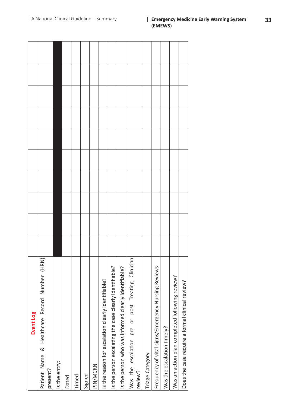| Event Log                                                    |  |  |  |  |  |
|--------------------------------------------------------------|--|--|--|--|--|
| Patient Name & Healthcare Record Number (HRN)<br>present?    |  |  |  |  |  |
| Is the entry:                                                |  |  |  |  |  |
| Dated                                                        |  |  |  |  |  |
| Timed                                                        |  |  |  |  |  |
| Signed                                                       |  |  |  |  |  |
| PIN/MCRN                                                     |  |  |  |  |  |
| Is the reason for escalation clearly identifiable?           |  |  |  |  |  |
| Is the person escalating the case clearly identifiable?      |  |  |  |  |  |
| Is the person who was informed clearly identifiable?         |  |  |  |  |  |
| Was the escalation pre or post Treating Clinician<br>review? |  |  |  |  |  |
| Triage Category                                              |  |  |  |  |  |
| Frequency of vital signs/Emergency Nursing Reviews           |  |  |  |  |  |
| Was the escalation timely?                                   |  |  |  |  |  |
| Was an action plan completed following review?               |  |  |  |  |  |
| Does the case require a formal clinical review?              |  |  |  |  |  |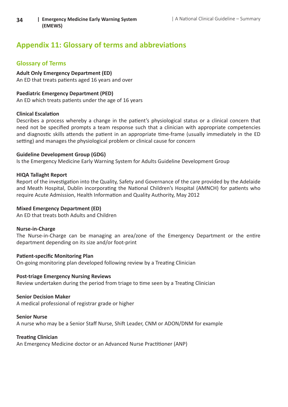## **Appendix 11: Glossary of terms and abbreviations**

## **Glossary of Terms**

**Adult Only Emergency Department (ED)** An ED that treats patients aged 16 years and over

## **Paediatric Emergency Department (PED)**

An ED which treats patients under the age of 16 years

## **Clinical Escalation**

Describes a process whereby a change in the patient's physiological status or a clinical concern that need not be specified prompts a team response such that a clinician with appropriate competencies and diagnostic skills attends the patient in an appropriate time-frame (usually immediately in the ED setting) and manages the physiological problem or clinical cause for concern

## **Guideline Development Group (GDG)**

Is the Emergency Medicine Early Warning System for Adults Guideline Development Group

## **HIQA Tallaght Report**

Report of the investigation into the Quality, Safety and Governance of the care provided by the Adelaide and Meath Hospital, Dublin incorporating the National Children's Hospital (AMNCH) for patients who require Acute Admission, Health Information and Quality Authority, May 2012

## **Mixed Emergency Department (ED)**

An ED that treats both Adults and Children

## **Nurse-in-Charge**

The Nurse-in-Charge can be managing an area/zone of the Emergency Department or the entire department depending on its size and/or foot-print

## **Patient-specific Monitoring Plan**

On-going monitoring plan developed following review by a Treating Clinician

## **Post-triage Emergency Nursing Reviews**

Review undertaken during the period from triage to time seen by a Treating Clinician

## **Senior Decision Maker**

A medical professional of registrar grade or higher

## **Senior Nurse**

A nurse who may be a Senior Staff Nurse, Shift Leader, CNM or ADON/DNM for example

## **Treating Clinician**

An Emergency Medicine doctor or an Advanced Nurse Practitioner (ANP)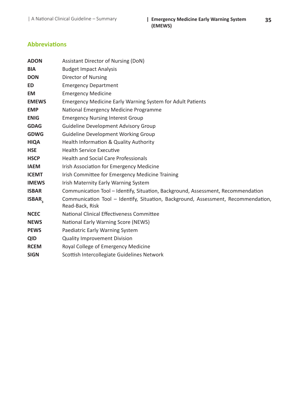## **Abbreviations**

| <b>ADON</b>  | Assistant Director of Nursing (DoN)                                                                  |
|--------------|------------------------------------------------------------------------------------------------------|
| <b>BIA</b>   | <b>Budget Impact Analysis</b>                                                                        |
| <b>DON</b>   | Director of Nursing                                                                                  |
| ED           | <b>Emergency Department</b>                                                                          |
| <b>EM</b>    | <b>Emergency Medicine</b>                                                                            |
| <b>EMEWS</b> | <b>Emergency Medicine Early Warning System for Adult Patients</b>                                    |
| <b>EMP</b>   | National Emergency Medicine Programme                                                                |
| <b>ENIG</b>  | <b>Emergency Nursing Interest Group</b>                                                              |
| <b>GDAG</b>  | <b>Guideline Development Advisory Group</b>                                                          |
| <b>GDWG</b>  | <b>Guideline Development Working Group</b>                                                           |
| <b>HIQA</b>  | Health Information & Quality Authority                                                               |
| <b>HSE</b>   | <b>Health Service Executive</b>                                                                      |
| <b>HSCP</b>  | <b>Health and Social Care Professionals</b>                                                          |
| <b>IAEM</b>  | <b>Irish Association for Emergency Medicine</b>                                                      |
| <b>ICEMT</b> | Irish Committee for Emergency Medicine Training                                                      |
| <b>IMEWS</b> | <b>Irish Maternity Early Warning System</b>                                                          |
| <b>ISBAR</b> | Communication Tool - Identify, Situation, Background, Assessment, Recommendation                     |
| ISBAR,       | Communication Tool - Identify, Situation, Background, Assessment, Recommendation,<br>Read-Back, Risk |
| <b>NCEC</b>  | National Clinical Effectiveness Committee                                                            |
| <b>NEWS</b>  | National Early Warning Score (NEWS)                                                                  |
| <b>PEWS</b>  | Paediatric Early Warning System                                                                      |
| <b>QID</b>   | <b>Quality Improvement Division</b>                                                                  |
| <b>RCEM</b>  | Royal College of Emergency Medicine                                                                  |
| <b>SIGN</b>  | Scottish Intercollegiate Guidelines Network                                                          |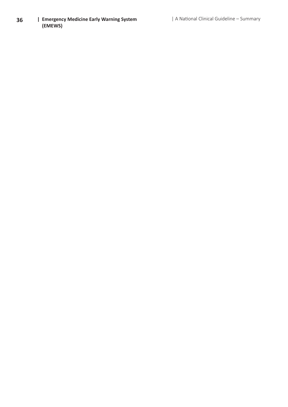**36 | Emergency Medicine Early Warning System (EMEWS)**